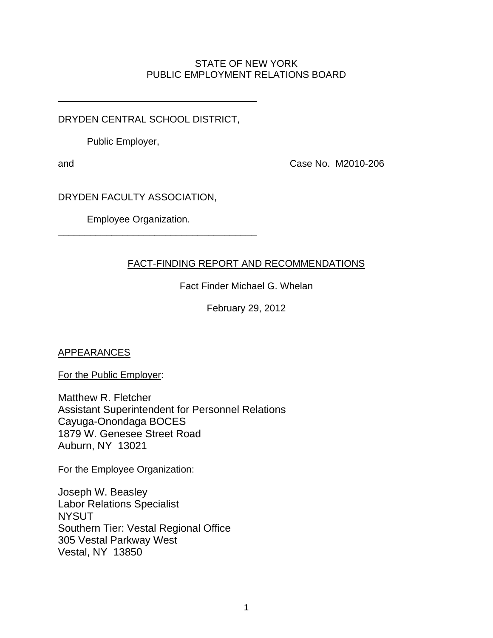## STATE OF NEW YORK PUBLIC EMPLOYMENT RELATIONS BOARD

DRYDEN CENTRAL SCHOOL DISTRICT,

\_\_\_\_\_\_\_\_\_\_\_\_\_\_\_\_\_\_\_\_\_\_\_\_\_\_\_\_\_\_\_\_\_\_\_\_\_

Public Employer,

and Case No. M2010-206

DRYDEN FACULTY ASSOCIATION,

Employee Organization.

\_\_\_\_\_\_\_\_\_\_\_\_\_\_\_\_\_\_\_\_\_\_\_\_\_\_\_\_\_\_\_\_\_\_\_\_\_

# FACT-FINDING REPORT AND RECOMMENDATIONS

Fact Finder Michael G. Whelan

February 29, 2012

APPEARANCES

For the Public Employer:

Matthew R. Fletcher Assistant Superintendent for Personnel Relations Cayuga-Onondaga BOCES 1879 W. Genesee Street Road Auburn, NY 13021

For the Employee Organization:

Joseph W. Beasley Labor Relations Specialist **NYSUT** Southern Tier: Vestal Regional Office 305 Vestal Parkway West Vestal, NY 13850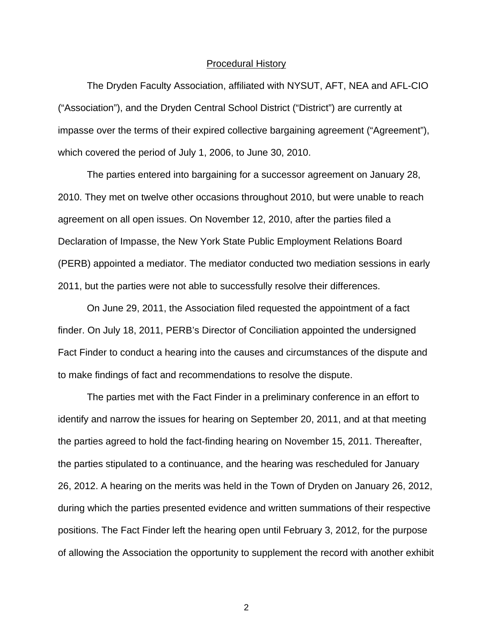#### Procedural History

 The Dryden Faculty Association, affiliated with NYSUT, AFT, NEA and AFL-CIO ("Association"), and the Dryden Central School District ("District") are currently at impasse over the terms of their expired collective bargaining agreement ("Agreement"), which covered the period of July 1, 2006, to June 30, 2010.

 The parties entered into bargaining for a successor agreement on January 28, 2010. They met on twelve other occasions throughout 2010, but were unable to reach agreement on all open issues. On November 12, 2010, after the parties filed a Declaration of Impasse, the New York State Public Employment Relations Board (PERB) appointed a mediator. The mediator conducted two mediation sessions in early 2011, but the parties were not able to successfully resolve their differences.

 On June 29, 2011, the Association filed requested the appointment of a fact finder. On July 18, 2011, PERB's Director of Conciliation appointed the undersigned Fact Finder to conduct a hearing into the causes and circumstances of the dispute and to make findings of fact and recommendations to resolve the dispute.

 The parties met with the Fact Finder in a preliminary conference in an effort to identify and narrow the issues for hearing on September 20, 2011, and at that meeting the parties agreed to hold the fact-finding hearing on November 15, 2011. Thereafter, the parties stipulated to a continuance, and the hearing was rescheduled for January 26, 2012. A hearing on the merits was held in the Town of Dryden on January 26, 2012, during which the parties presented evidence and written summations of their respective positions. The Fact Finder left the hearing open until February 3, 2012, for the purpose of allowing the Association the opportunity to supplement the record with another exhibit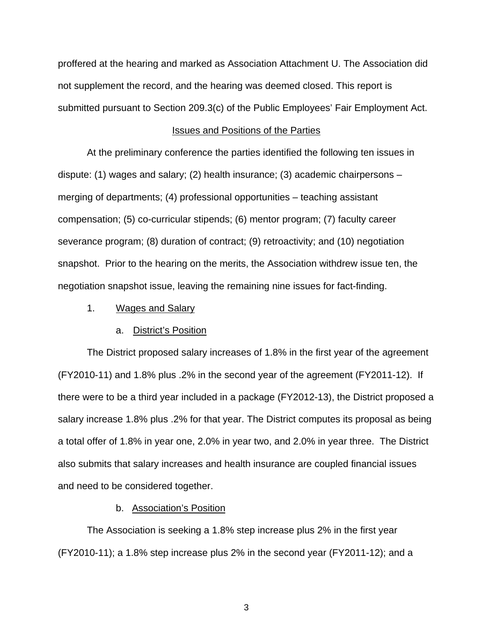proffered at the hearing and marked as Association Attachment U. The Association did not supplement the record, and the hearing was deemed closed. This report is submitted pursuant to Section 209.3(c) of the Public Employees' Fair Employment Act.

### Issues and Positions of the Parties

 At the preliminary conference the parties identified the following ten issues in dispute: (1) wages and salary; (2) health insurance; (3) academic chairpersons – merging of departments; (4) professional opportunities – teaching assistant compensation; (5) co-curricular stipends; (6) mentor program; (7) faculty career severance program; (8) duration of contract; (9) retroactivity; and (10) negotiation snapshot. Prior to the hearing on the merits, the Association withdrew issue ten, the negotiation snapshot issue, leaving the remaining nine issues for fact-finding.

1. Wages and Salary

#### a. District's Position

The District proposed salary increases of 1.8% in the first year of the agreement (FY2010-11) and 1.8% plus .2% in the second year of the agreement (FY2011-12). If there were to be a third year included in a package (FY2012-13), the District proposed a salary increase 1.8% plus .2% for that year. The District computes its proposal as being a total offer of 1.8% in year one, 2.0% in year two, and 2.0% in year three. The District also submits that salary increases and health insurance are coupled financial issues and need to be considered together.

## b. Association's Position

The Association is seeking a 1.8% step increase plus 2% in the first year (FY2010-11); a 1.8% step increase plus 2% in the second year (FY2011-12); and a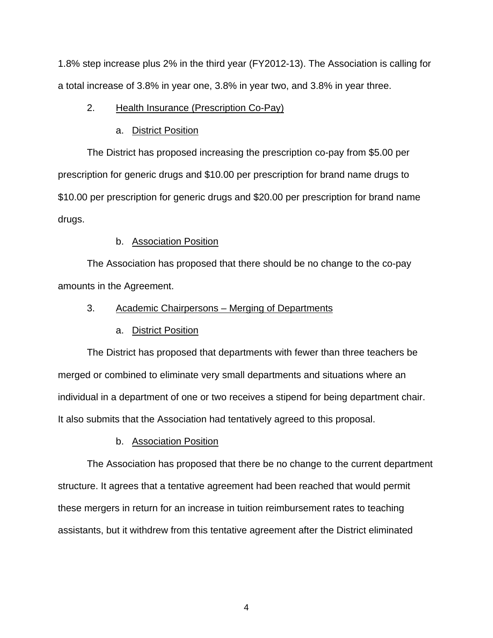1.8% step increase plus 2% in the third year (FY2012-13). The Association is calling for a total increase of 3.8% in year one, 3.8% in year two, and 3.8% in year three.

## 2. Health Insurance (Prescription Co-Pay)

## a. District Position

The District has proposed increasing the prescription co-pay from \$5.00 per prescription for generic drugs and \$10.00 per prescription for brand name drugs to \$10.00 per prescription for generic drugs and \$20.00 per prescription for brand name drugs.

## b. Association Position

The Association has proposed that there should be no change to the co-pay amounts in the Agreement.

## 3. Academic Chairpersons – Merging of Departments

### a. District Position

The District has proposed that departments with fewer than three teachers be merged or combined to eliminate very small departments and situations where an individual in a department of one or two receives a stipend for being department chair. It also submits that the Association had tentatively agreed to this proposal.

### b. Association Position

The Association has proposed that there be no change to the current department structure. It agrees that a tentative agreement had been reached that would permit these mergers in return for an increase in tuition reimbursement rates to teaching assistants, but it withdrew from this tentative agreement after the District eliminated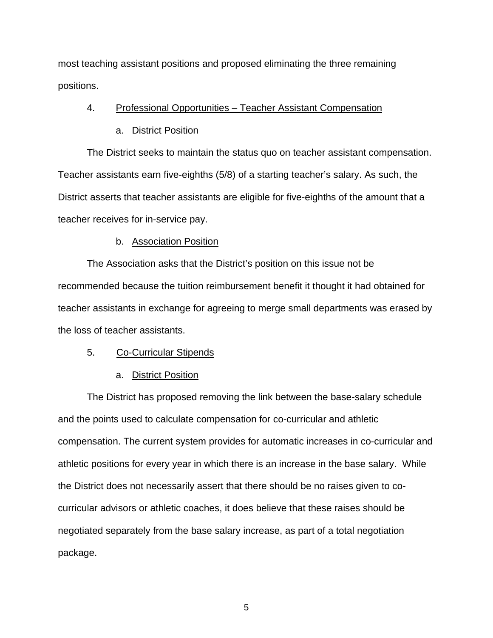most teaching assistant positions and proposed eliminating the three remaining positions.

## 4. Professional Opportunities – Teacher Assistant Compensation

#### a. District Position

The District seeks to maintain the status quo on teacher assistant compensation. Teacher assistants earn five-eighths (5/8) of a starting teacher's salary. As such, the District asserts that teacher assistants are eligible for five-eighths of the amount that a teacher receives for in-service pay.

#### b. Association Position

The Association asks that the District's position on this issue not be recommended because the tuition reimbursement benefit it thought it had obtained for teacher assistants in exchange for agreeing to merge small departments was erased by the loss of teacher assistants.

#### 5. Co-Curricular Stipends

### a. District Position

 The District has proposed removing the link between the base-salary schedule and the points used to calculate compensation for co-curricular and athletic compensation. The current system provides for automatic increases in co-curricular and athletic positions for every year in which there is an increase in the base salary. While the District does not necessarily assert that there should be no raises given to cocurricular advisors or athletic coaches, it does believe that these raises should be negotiated separately from the base salary increase, as part of a total negotiation package.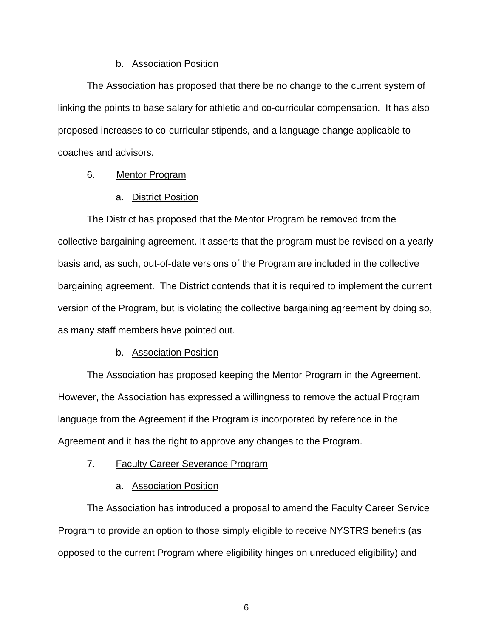### b. Association Position

The Association has proposed that there be no change to the current system of linking the points to base salary for athletic and co-curricular compensation. It has also proposed increases to co-curricular stipends, and a language change applicable to coaches and advisors.

## 6. Mentor Program

#### a. District Position

The District has proposed that the Mentor Program be removed from the collective bargaining agreement. It asserts that the program must be revised on a yearly basis and, as such, out-of-date versions of the Program are included in the collective bargaining agreement. The District contends that it is required to implement the current version of the Program, but is violating the collective bargaining agreement by doing so, as many staff members have pointed out.

### b. Association Position

The Association has proposed keeping the Mentor Program in the Agreement. However, the Association has expressed a willingness to remove the actual Program language from the Agreement if the Program is incorporated by reference in the Agreement and it has the right to approve any changes to the Program.

## 7. Faculty Career Severance Program

### a. Association Position

The Association has introduced a proposal to amend the Faculty Career Service Program to provide an option to those simply eligible to receive NYSTRS benefits (as opposed to the current Program where eligibility hinges on unreduced eligibility) and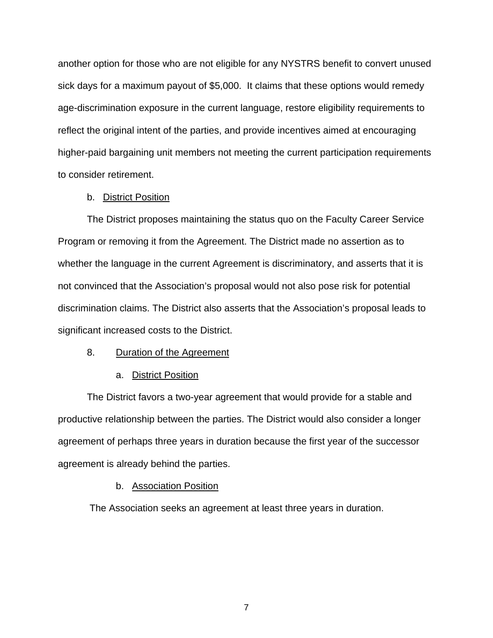another option for those who are not eligible for any NYSTRS benefit to convert unused sick days for a maximum payout of \$5,000. It claims that these options would remedy age-discrimination exposure in the current language, restore eligibility requirements to reflect the original intent of the parties, and provide incentives aimed at encouraging higher-paid bargaining unit members not meeting the current participation requirements to consider retirement.

#### b. District Position

The District proposes maintaining the status quo on the Faculty Career Service Program or removing it from the Agreement. The District made no assertion as to whether the language in the current Agreement is discriminatory, and asserts that it is not convinced that the Association's proposal would not also pose risk for potential discrimination claims. The District also asserts that the Association's proposal leads to significant increased costs to the District.

### 8. Duration of the Agreement

#### a. District Position

The District favors a two-year agreement that would provide for a stable and productive relationship between the parties. The District would also consider a longer agreement of perhaps three years in duration because the first year of the successor agreement is already behind the parties.

#### b. Association Position

The Association seeks an agreement at least three years in duration.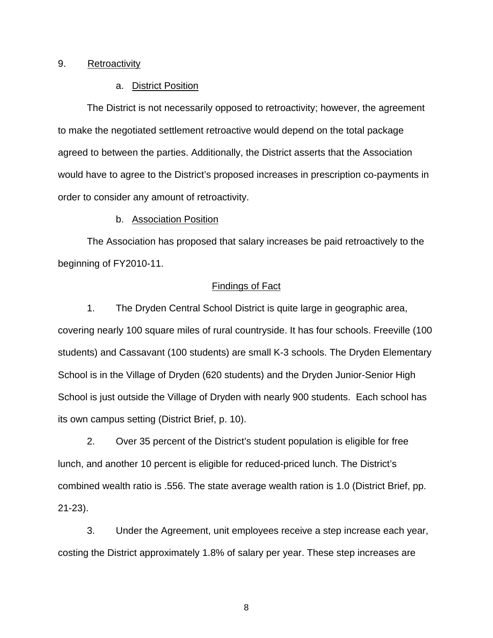## 9. Retroactivity

## a. District Position

The District is not necessarily opposed to retroactivity; however, the agreement to make the negotiated settlement retroactive would depend on the total package agreed to between the parties. Additionally, the District asserts that the Association would have to agree to the District's proposed increases in prescription co-payments in order to consider any amount of retroactivity.

#### b. Association Position

The Association has proposed that salary increases be paid retroactively to the beginning of FY2010-11.

## Findings of Fact

1. The Dryden Central School District is quite large in geographic area, covering nearly 100 square miles of rural countryside. It has four schools. Freeville (100 students) and Cassavant (100 students) are small K-3 schools. The Dryden Elementary School is in the Village of Dryden (620 students) and the Dryden Junior-Senior High School is just outside the Village of Dryden with nearly 900 students. Each school has its own campus setting (District Brief, p. 10).

 2. Over 35 percent of the District's student population is eligible for free lunch, and another 10 percent is eligible for reduced-priced lunch. The District's combined wealth ratio is .556. The state average wealth ration is 1.0 (District Brief, pp. 21-23).

3. Under the Agreement, unit employees receive a step increase each year, costing the District approximately 1.8% of salary per year. These step increases are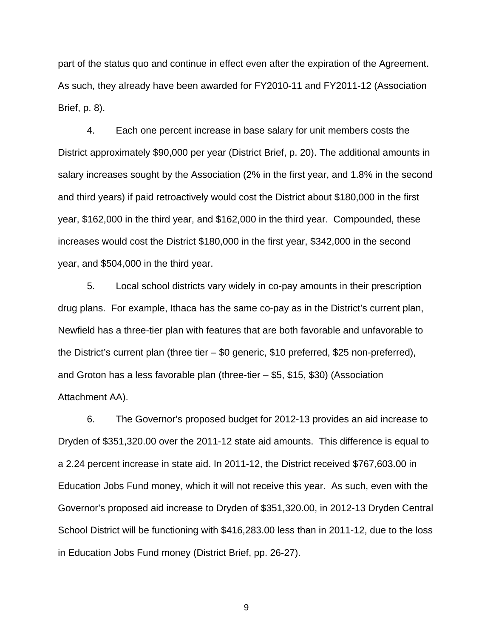part of the status quo and continue in effect even after the expiration of the Agreement. As such, they already have been awarded for FY2010-11 and FY2011-12 (Association Brief, p. 8).

4. Each one percent increase in base salary for unit members costs the District approximately \$90,000 per year (District Brief, p. 20). The additional amounts in salary increases sought by the Association (2% in the first year, and 1.8% in the second and third years) if paid retroactively would cost the District about \$180,000 in the first year, \$162,000 in the third year, and \$162,000 in the third year. Compounded, these increases would cost the District \$180,000 in the first year, \$342,000 in the second year, and \$504,000 in the third year.

 5. Local school districts vary widely in co-pay amounts in their prescription drug plans. For example, Ithaca has the same co-pay as in the District's current plan, Newfield has a three-tier plan with features that are both favorable and unfavorable to the District's current plan (three tier – \$0 generic, \$10 preferred, \$25 non-preferred), and Groton has a less favorable plan (three-tier – \$5, \$15, \$30) (Association Attachment AA).

 6. The Governor's proposed budget for 2012-13 provides an aid increase to Dryden of \$351,320.00 over the 2011-12 state aid amounts. This difference is equal to a 2.24 percent increase in state aid. In 2011-12, the District received \$767,603.00 in Education Jobs Fund money, which it will not receive this year. As such, even with the Governor's proposed aid increase to Dryden of \$351,320.00, in 2012-13 Dryden Central School District will be functioning with \$416,283.00 less than in 2011-12, due to the loss in Education Jobs Fund money (District Brief, pp. 26-27).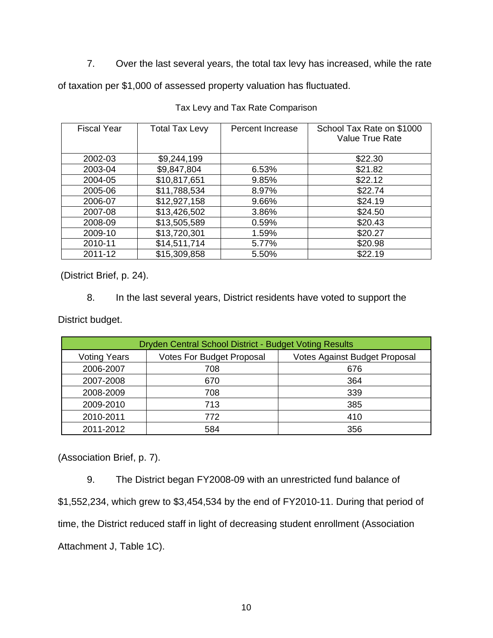7. Over the last several years, the total tax levy has increased, while the rate

of taxation per \$1,000 of assessed property valuation has fluctuated.

| <b>Fiscal Year</b> | <b>Total Tax Levy</b> | Percent Increase | School Tax Rate on \$1000<br><b>Value True Rate</b> |
|--------------------|-----------------------|------------------|-----------------------------------------------------|
| 2002-03            | \$9,244,199           |                  | \$22.30                                             |
| 2003-04            | \$9,847,804           | 6.53%            | \$21.82                                             |
|                    |                       |                  |                                                     |
| 2004-05            | \$10,817,651          | 9.85%            | \$22.12                                             |
| 2005-06            | \$11,788,534          | 8.97%            | \$22.74                                             |
| 2006-07            | \$12,927,158          | 9.66%            | \$24.19                                             |
| 2007-08            | \$13,426,502          | 3.86%            | \$24.50                                             |
| 2008-09            | \$13,505,589          | 0.59%            | \$20.43                                             |
| 2009-10            | \$13,720,301          | 1.59%            | \$20.27                                             |
| 2010-11            | \$14,511,714          | 5.77%            | \$20.98                                             |
| 2011-12            | \$15,309,858          | 5.50%            | \$22.19                                             |

Tax Levy and Tax Rate Comparison

(District Brief, p. 24).

8. In the last several years, District residents have voted to support the

District budget.

| Dryden Central School District - Budget Voting Results |                                  |                                      |  |
|--------------------------------------------------------|----------------------------------|--------------------------------------|--|
| <b>Voting Years</b>                                    | <b>Votes For Budget Proposal</b> | <b>Votes Against Budget Proposal</b> |  |
| 2006-2007                                              | 708                              | 676                                  |  |
| 2007-2008                                              | 670                              | 364                                  |  |
| 2008-2009                                              | 708                              | 339                                  |  |
| 2009-2010                                              | 713                              | 385                                  |  |
| 2010-2011                                              | 772                              | 410                                  |  |
| 2011-2012                                              | 584                              | 356                                  |  |

(Association Brief, p. 7).

 9. The District began FY2008-09 with an unrestricted fund balance of \$1,552,234, which grew to \$3,454,534 by the end of FY2010-11. During that period of time, the District reduced staff in light of decreasing student enrollment (Association Attachment J, Table 1C).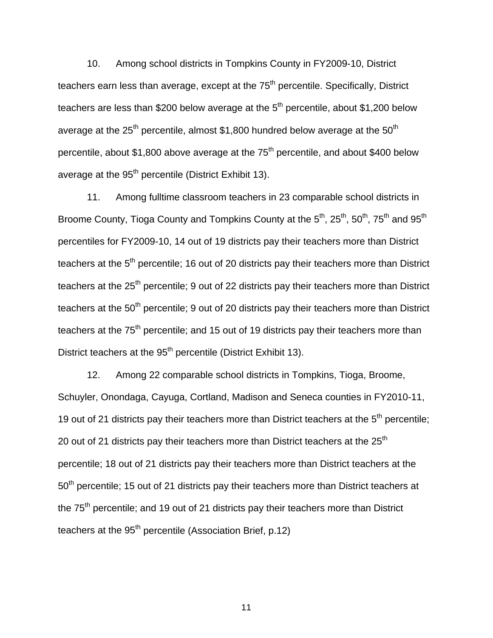10. Among school districts in Tompkins County in FY2009-10, District teachers earn less than average, except at the 75<sup>th</sup> percentile. Specifically, District teachers are less than \$200 below average at the  $5<sup>th</sup>$  percentile, about \$1,200 below average at the  $25<sup>th</sup>$  percentile, almost \$1,800 hundred below average at the  $50<sup>th</sup>$ percentile, about \$1,800 above average at the  $75<sup>th</sup>$  percentile, and about \$400 below average at the  $95<sup>th</sup>$  percentile (District Exhibit 13).

 11. Among fulltime classroom teachers in 23 comparable school districts in Broome County, Tioga County and Tompkins County at the  $5<sup>th</sup>$ ,  $25<sup>th</sup>$ ,  $50<sup>th</sup>$ ,  $75<sup>th</sup>$  and  $95<sup>th</sup>$ percentiles for FY2009-10, 14 out of 19 districts pay their teachers more than District teachers at the  $5<sup>th</sup>$  percentile; 16 out of 20 districts pay their teachers more than District teachers at the  $25<sup>th</sup>$  percentile; 9 out of 22 districts pay their teachers more than District teachers at the  $50<sup>th</sup>$  percentile; 9 out of 20 districts pay their teachers more than District teachers at the 75<sup>th</sup> percentile; and 15 out of 19 districts pay their teachers more than District teachers at the 95<sup>th</sup> percentile (District Exhibit 13).

 12. Among 22 comparable school districts in Tompkins, Tioga, Broome, Schuyler, Onondaga, Cayuga, Cortland, Madison and Seneca counties in FY2010-11, 19 out of 21 districts pay their teachers more than District teachers at the  $5<sup>th</sup>$  percentile; 20 out of 21 districts pay their teachers more than District teachers at the  $25<sup>th</sup>$ percentile; 18 out of 21 districts pay their teachers more than District teachers at the 50<sup>th</sup> percentile; 15 out of 21 districts pay their teachers more than District teachers at the  $75<sup>th</sup>$  percentile; and 19 out of 21 districts pay their teachers more than District teachers at the  $95<sup>th</sup>$  percentile (Association Brief, p.12)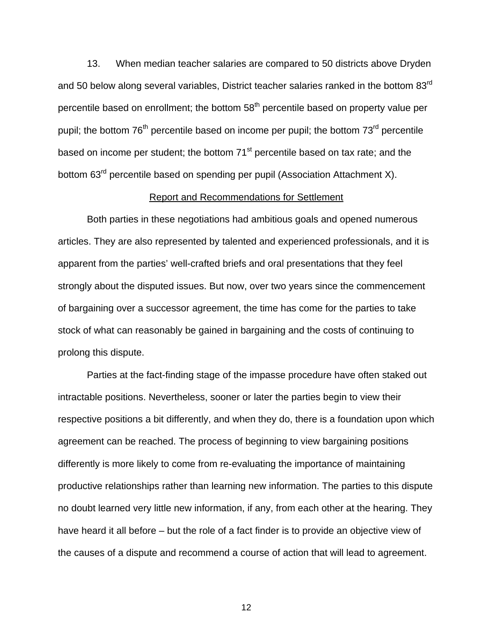13. When median teacher salaries are compared to 50 districts above Dryden and 50 below along several variables, District teacher salaries ranked in the bottom 83rd percentile based on enrollment; the bottom 58<sup>th</sup> percentile based on property value per pupil; the bottom  $76<sup>th</sup>$  percentile based on income per pupil; the bottom  $73<sup>rd</sup>$  percentile based on income per student; the bottom  $71<sup>st</sup>$  percentile based on tax rate; and the bottom 63<sup>rd</sup> percentile based on spending per pupil (Association Attachment X).

### Report and Recommendations for Settlement

 Both parties in these negotiations had ambitious goals and opened numerous articles. They are also represented by talented and experienced professionals, and it is apparent from the parties' well-crafted briefs and oral presentations that they feel strongly about the disputed issues. But now, over two years since the commencement of bargaining over a successor agreement, the time has come for the parties to take stock of what can reasonably be gained in bargaining and the costs of continuing to prolong this dispute.

 Parties at the fact-finding stage of the impasse procedure have often staked out intractable positions. Nevertheless, sooner or later the parties begin to view their respective positions a bit differently, and when they do, there is a foundation upon which agreement can be reached. The process of beginning to view bargaining positions differently is more likely to come from re-evaluating the importance of maintaining productive relationships rather than learning new information. The parties to this dispute no doubt learned very little new information, if any, from each other at the hearing. They have heard it all before – but the role of a fact finder is to provide an objective view of the causes of a dispute and recommend a course of action that will lead to agreement.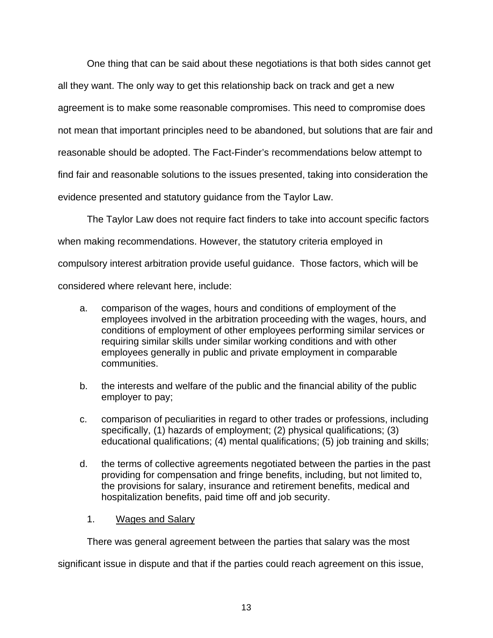One thing that can be said about these negotiations is that both sides cannot get all they want. The only way to get this relationship back on track and get a new agreement is to make some reasonable compromises. This need to compromise does not mean that important principles need to be abandoned, but solutions that are fair and reasonable should be adopted. The Fact-Finder's recommendations below attempt to find fair and reasonable solutions to the issues presented, taking into consideration the evidence presented and statutory guidance from the Taylor Law.

 The Taylor Law does not require fact finders to take into account specific factors when making recommendations. However, the statutory criteria employed in compulsory interest arbitration provide useful guidance. Those factors, which will be considered where relevant here, include:

- a. comparison of the wages, hours and conditions of employment of the employees involved in the arbitration proceeding with the wages, hours, and conditions of employment of other employees performing similar services or requiring similar skills under similar working conditions and with other employees generally in public and private employment in comparable communities.
- b. the interests and welfare of the public and the financial ability of the public employer to pay;
- c. comparison of peculiarities in regard to other trades or professions, including specifically, (1) hazards of employment; (2) physical qualifications; (3) educational qualifications; (4) mental qualifications; (5) job training and skills;
- d. the terms of collective agreements negotiated between the parties in the past providing for compensation and fringe benefits, including, but not limited to, the provisions for salary, insurance and retirement benefits, medical and hospitalization benefits, paid time off and job security.
	- 1. Wages and Salary

There was general agreement between the parties that salary was the most

significant issue in dispute and that if the parties could reach agreement on this issue,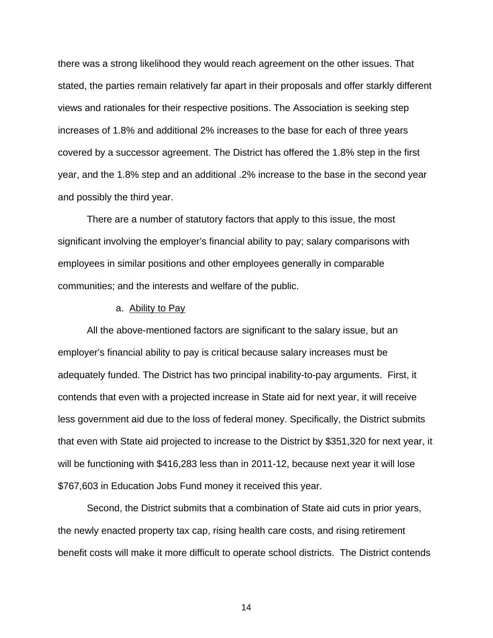there was a strong likelihood they would reach agreement on the other issues. That stated, the parties remain relatively far apart in their proposals and offer starkly different views and rationales for their respective positions. The Association is seeking step increases of 1.8% and additional 2% increases to the base for each of three years covered by a successor agreement. The District has offered the 1.8% step in the first year, and the 1.8% step and an additional .2% increase to the base in the second year and possibly the third year.

 There are a number of statutory factors that apply to this issue, the most significant involving the employer's financial ability to pay; salary comparisons with employees in similar positions and other employees generally in comparable communities; and the interests and welfare of the public.

#### a. Ability to Pay

 All the above-mentioned factors are significant to the salary issue, but an employer's financial ability to pay is critical because salary increases must be adequately funded. The District has two principal inability-to-pay arguments. First, it contends that even with a projected increase in State aid for next year, it will receive less government aid due to the loss of federal money. Specifically, the District submits that even with State aid projected to increase to the District by \$351,320 for next year, it will be functioning with \$416,283 less than in 2011-12, because next year it will lose \$767,603 in Education Jobs Fund money it received this year.

Second, the District submits that a combination of State aid cuts in prior years, the newly enacted property tax cap, rising health care costs, and rising retirement benefit costs will make it more difficult to operate school districts. The District contends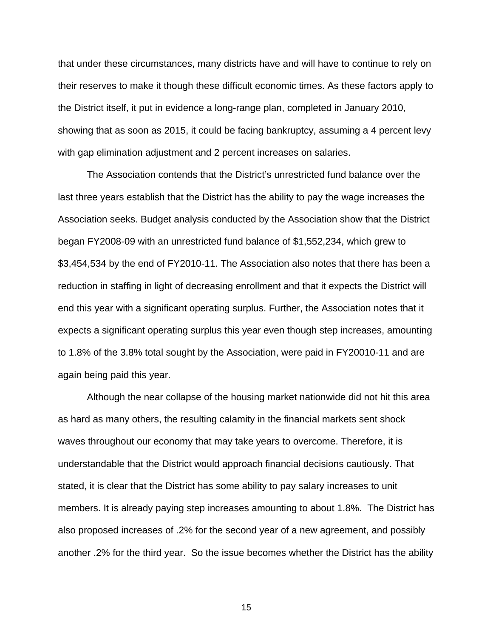that under these circumstances, many districts have and will have to continue to rely on their reserves to make it though these difficult economic times. As these factors apply to the District itself, it put in evidence a long-range plan, completed in January 2010, showing that as soon as 2015, it could be facing bankruptcy, assuming a 4 percent levy with gap elimination adjustment and 2 percent increases on salaries.

 The Association contends that the District's unrestricted fund balance over the last three years establish that the District has the ability to pay the wage increases the Association seeks. Budget analysis conducted by the Association show that the District began FY2008-09 with an unrestricted fund balance of \$1,552,234, which grew to \$3,454,534 by the end of FY2010-11. The Association also notes that there has been a reduction in staffing in light of decreasing enrollment and that it expects the District will end this year with a significant operating surplus. Further, the Association notes that it expects a significant operating surplus this year even though step increases, amounting to 1.8% of the 3.8% total sought by the Association, were paid in FY20010-11 and are again being paid this year.

 Although the near collapse of the housing market nationwide did not hit this area as hard as many others, the resulting calamity in the financial markets sent shock waves throughout our economy that may take years to overcome. Therefore, it is understandable that the District would approach financial decisions cautiously. That stated, it is clear that the District has some ability to pay salary increases to unit members. It is already paying step increases amounting to about 1.8%. The District has also proposed increases of .2% for the second year of a new agreement, and possibly another .2% for the third year. So the issue becomes whether the District has the ability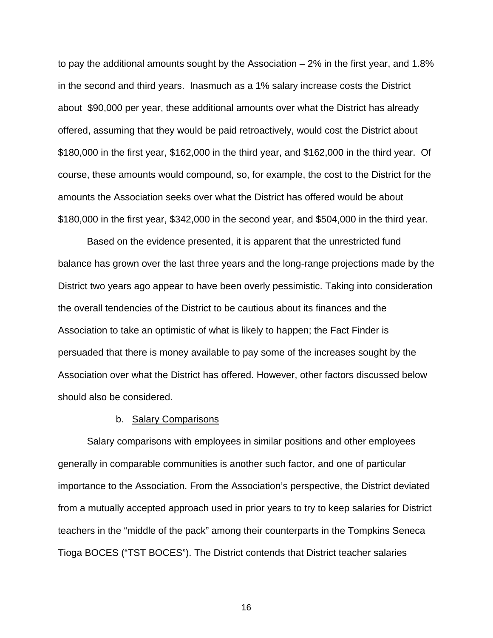to pay the additional amounts sought by the Association  $-2\%$  in the first year, and 1.8% in the second and third years. Inasmuch as a 1% salary increase costs the District about \$90,000 per year, these additional amounts over what the District has already offered, assuming that they would be paid retroactively, would cost the District about \$180,000 in the first year, \$162,000 in the third year, and \$162,000 in the third year. Of course, these amounts would compound, so, for example, the cost to the District for the amounts the Association seeks over what the District has offered would be about \$180,000 in the first year, \$342,000 in the second year, and \$504,000 in the third year.

 Based on the evidence presented, it is apparent that the unrestricted fund balance has grown over the last three years and the long-range projections made by the District two years ago appear to have been overly pessimistic. Taking into consideration the overall tendencies of the District to be cautious about its finances and the Association to take an optimistic of what is likely to happen; the Fact Finder is persuaded that there is money available to pay some of the increases sought by the Association over what the District has offered. However, other factors discussed below should also be considered.

## b. Salary Comparisons

 Salary comparisons with employees in similar positions and other employees generally in comparable communities is another such factor, and one of particular importance to the Association. From the Association's perspective, the District deviated from a mutually accepted approach used in prior years to try to keep salaries for District teachers in the "middle of the pack" among their counterparts in the Tompkins Seneca Tioga BOCES ("TST BOCES"). The District contends that District teacher salaries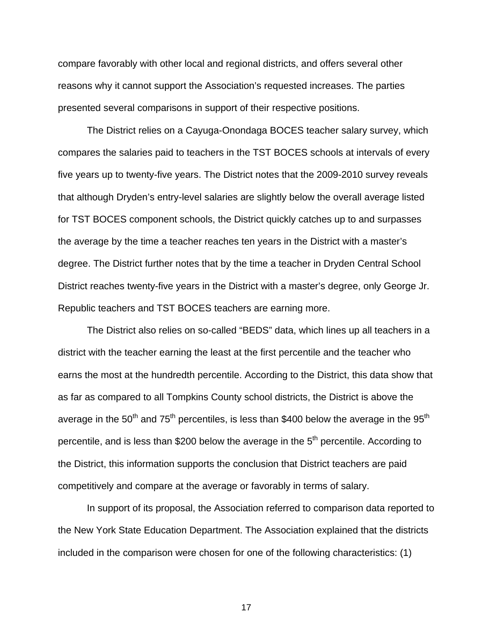compare favorably with other local and regional districts, and offers several other reasons why it cannot support the Association's requested increases. The parties presented several comparisons in support of their respective positions.

 The District relies on a Cayuga-Onondaga BOCES teacher salary survey, which compares the salaries paid to teachers in the TST BOCES schools at intervals of every five years up to twenty-five years. The District notes that the 2009-2010 survey reveals that although Dryden's entry-level salaries are slightly below the overall average listed for TST BOCES component schools, the District quickly catches up to and surpasses the average by the time a teacher reaches ten years in the District with a master's degree. The District further notes that by the time a teacher in Dryden Central School District reaches twenty-five years in the District with a master's degree, only George Jr. Republic teachers and TST BOCES teachers are earning more.

 The District also relies on so-called "BEDS" data, which lines up all teachers in a district with the teacher earning the least at the first percentile and the teacher who earns the most at the hundredth percentile. According to the District, this data show that as far as compared to all Tompkins County school districts, the District is above the average in the  $50<sup>th</sup>$  and  $75<sup>th</sup>$  percentiles, is less than \$400 below the average in the 95<sup>th</sup> percentile, and is less than \$200 below the average in the  $5<sup>th</sup>$  percentile. According to the District, this information supports the conclusion that District teachers are paid competitively and compare at the average or favorably in terms of salary.

 In support of its proposal, the Association referred to comparison data reported to the New York State Education Department. The Association explained that the districts included in the comparison were chosen for one of the following characteristics: (1)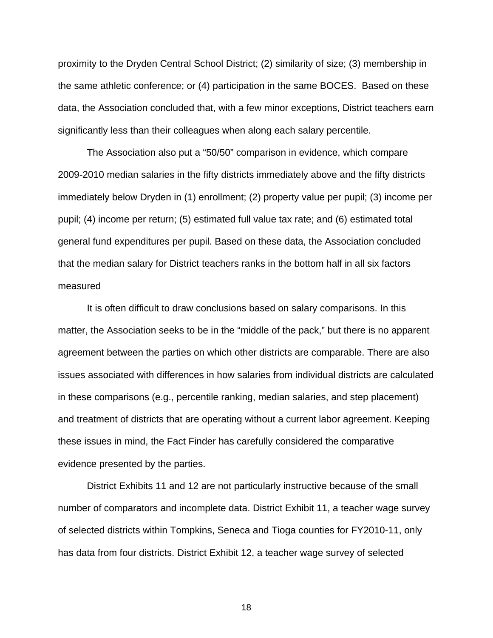proximity to the Dryden Central School District; (2) similarity of size; (3) membership in the same athletic conference; or (4) participation in the same BOCES. Based on these data, the Association concluded that, with a few minor exceptions, District teachers earn significantly less than their colleagues when along each salary percentile.

 The Association also put a "50/50" comparison in evidence, which compare 2009-2010 median salaries in the fifty districts immediately above and the fifty districts immediately below Dryden in (1) enrollment; (2) property value per pupil; (3) income per pupil; (4) income per return; (5) estimated full value tax rate; and (6) estimated total general fund expenditures per pupil. Based on these data, the Association concluded that the median salary for District teachers ranks in the bottom half in all six factors measured

 It is often difficult to draw conclusions based on salary comparisons. In this matter, the Association seeks to be in the "middle of the pack," but there is no apparent agreement between the parties on which other districts are comparable. There are also issues associated with differences in how salaries from individual districts are calculated in these comparisons (e.g., percentile ranking, median salaries, and step placement) and treatment of districts that are operating without a current labor agreement. Keeping these issues in mind, the Fact Finder has carefully considered the comparative evidence presented by the parties.

 District Exhibits 11 and 12 are not particularly instructive because of the small number of comparators and incomplete data. District Exhibit 11, a teacher wage survey of selected districts within Tompkins, Seneca and Tioga counties for FY2010-11, only has data from four districts. District Exhibit 12, a teacher wage survey of selected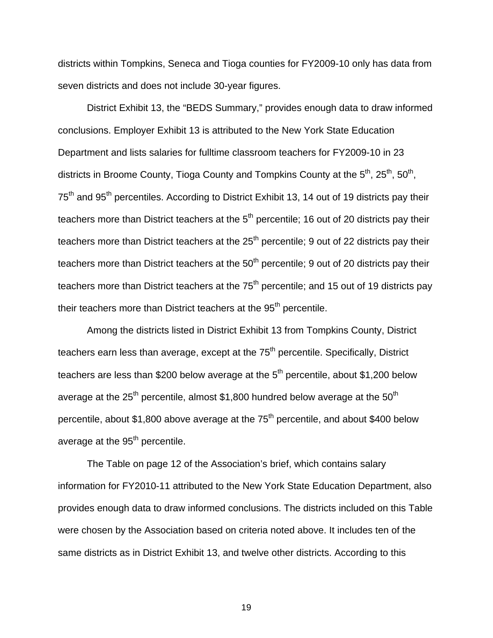districts within Tompkins, Seneca and Tioga counties for FY2009-10 only has data from seven districts and does not include 30-year figures.

 District Exhibit 13, the "BEDS Summary," provides enough data to draw informed conclusions. Employer Exhibit 13 is attributed to the New York State Education Department and lists salaries for fulltime classroom teachers for FY2009-10 in 23 districts in Broome County, Tioga County and Tompkins County at the  $5<sup>th</sup>$ ,  $25<sup>th</sup>$ ,  $50<sup>th</sup>$ , 75<sup>th</sup> and 95<sup>th</sup> percentiles. According to District Exhibit 13, 14 out of 19 districts pay their teachers more than District teachers at the  $5<sup>th</sup>$  percentile; 16 out of 20 districts pay their teachers more than District teachers at the  $25<sup>th</sup>$  percentile; 9 out of 22 districts pay their teachers more than District teachers at the  $50<sup>th</sup>$  percentile; 9 out of 20 districts pay their teachers more than District teachers at the  $75<sup>th</sup>$  percentile; and 15 out of 19 districts pay their teachers more than District teachers at the  $95<sup>th</sup>$  percentile.

 Among the districts listed in District Exhibit 13 from Tompkins County, District teachers earn less than average, except at the  $75<sup>th</sup>$  percentile. Specifically, District teachers are less than \$200 below average at the  $5<sup>th</sup>$  percentile, about \$1,200 below average at the  $25<sup>th</sup>$  percentile, almost \$1,800 hundred below average at the  $50<sup>th</sup>$ percentile, about \$1,800 above average at the  $75<sup>th</sup>$  percentile, and about \$400 below average at the  $95<sup>th</sup>$  percentile.

 The Table on page 12 of the Association's brief, which contains salary information for FY2010-11 attributed to the New York State Education Department, also provides enough data to draw informed conclusions. The districts included on this Table were chosen by the Association based on criteria noted above. It includes ten of the same districts as in District Exhibit 13, and twelve other districts. According to this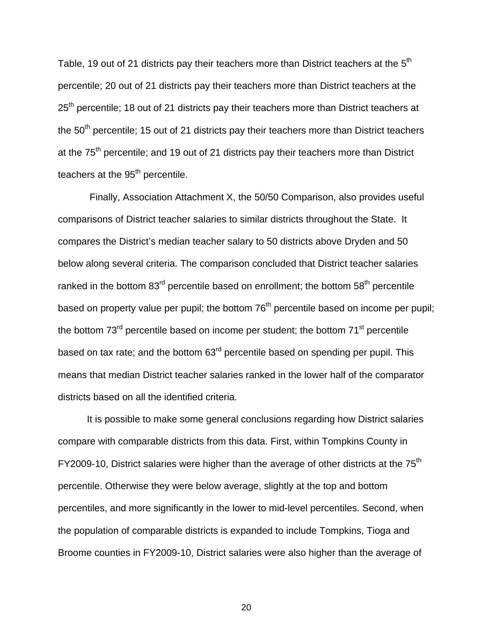Table, 19 out of 21 districts pay their teachers more than District teachers at the  $5<sup>th</sup>$ percentile; 20 out of 21 districts pay their teachers more than District teachers at the 25<sup>th</sup> percentile; 18 out of 21 districts pay their teachers more than District teachers at the  $50<sup>th</sup>$  percentile; 15 out of 21 districts pay their teachers more than District teachers at the 75<sup>th</sup> percentile; and 19 out of 21 districts pay their teachers more than District teachers at the  $95<sup>th</sup>$  percentile.

 Finally, Association Attachment X, the 50/50 Comparison, also provides useful comparisons of District teacher salaries to similar districts throughout the State. It compares the District's median teacher salary to 50 districts above Dryden and 50 below along several criteria. The comparison concluded that District teacher salaries ranked in the bottom  $83<sup>rd</sup>$  percentile based on enrollment; the bottom  $58<sup>th</sup>$  percentile based on property value per pupil; the bottom 76<sup>th</sup> percentile based on income per pupil; the bottom  $73<sup>rd</sup>$  percentile based on income per student; the bottom  $71<sup>st</sup>$  percentile based on tax rate; and the bottom 63<sup>rd</sup> percentile based on spending per pupil. This means that median District teacher salaries ranked in the lower half of the comparator districts based on all the identified criteria.

 It is possible to make some general conclusions regarding how District salaries compare with comparable districts from this data. First, within Tompkins County in FY2009-10, District salaries were higher than the average of other districts at the 75<sup>th</sup> percentile. Otherwise they were below average, slightly at the top and bottom percentiles, and more significantly in the lower to mid-level percentiles. Second, when the population of comparable districts is expanded to include Tompkins, Tioga and Broome counties in FY2009-10, District salaries were also higher than the average of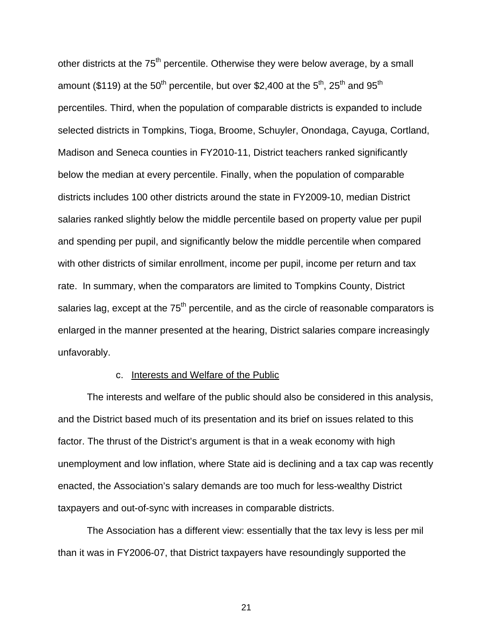other districts at the 75<sup>th</sup> percentile. Otherwise they were below average, by a small amount (\$119) at the 50<sup>th</sup> percentile, but over \$2,400 at the 5<sup>th</sup>, 25<sup>th</sup> and 95<sup>th</sup> percentiles. Third, when the population of comparable districts is expanded to include selected districts in Tompkins, Tioga, Broome, Schuyler, Onondaga, Cayuga, Cortland, Madison and Seneca counties in FY2010-11, District teachers ranked significantly below the median at every percentile. Finally, when the population of comparable districts includes 100 other districts around the state in FY2009-10, median District salaries ranked slightly below the middle percentile based on property value per pupil and spending per pupil, and significantly below the middle percentile when compared with other districts of similar enrollment, income per pupil, income per return and tax rate. In summary, when the comparators are limited to Tompkins County, District salaries lag, except at the  $75<sup>th</sup>$  percentile, and as the circle of reasonable comparators is enlarged in the manner presented at the hearing, District salaries compare increasingly unfavorably.

#### c. Interests and Welfare of the Public

 The interests and welfare of the public should also be considered in this analysis, and the District based much of its presentation and its brief on issues related to this factor. The thrust of the District's argument is that in a weak economy with high unemployment and low inflation, where State aid is declining and a tax cap was recently enacted, the Association's salary demands are too much for less-wealthy District taxpayers and out-of-sync with increases in comparable districts.

 The Association has a different view: essentially that the tax levy is less per mil than it was in FY2006-07, that District taxpayers have resoundingly supported the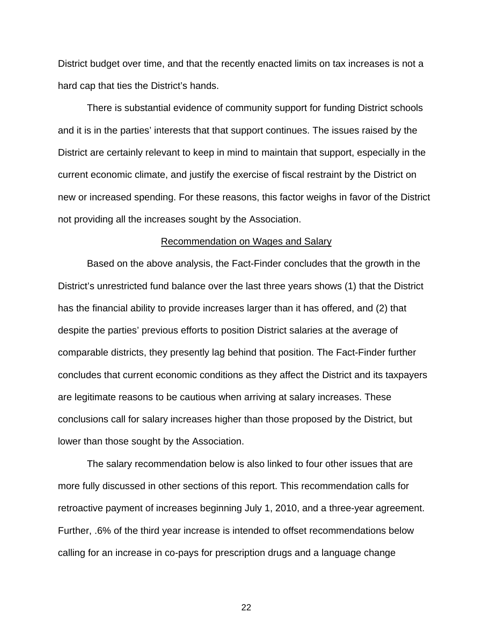District budget over time, and that the recently enacted limits on tax increases is not a hard cap that ties the District's hands.

 There is substantial evidence of community support for funding District schools and it is in the parties' interests that that support continues. The issues raised by the District are certainly relevant to keep in mind to maintain that support, especially in the current economic climate, and justify the exercise of fiscal restraint by the District on new or increased spending. For these reasons, this factor weighs in favor of the District not providing all the increases sought by the Association.

#### Recommendation on Wages and Salary

 Based on the above analysis, the Fact-Finder concludes that the growth in the District's unrestricted fund balance over the last three years shows (1) that the District has the financial ability to provide increases larger than it has offered, and (2) that despite the parties' previous efforts to position District salaries at the average of comparable districts, they presently lag behind that position. The Fact-Finder further concludes that current economic conditions as they affect the District and its taxpayers are legitimate reasons to be cautious when arriving at salary increases. These conclusions call for salary increases higher than those proposed by the District, but lower than those sought by the Association.

 The salary recommendation below is also linked to four other issues that are more fully discussed in other sections of this report. This recommendation calls for retroactive payment of increases beginning July 1, 2010, and a three-year agreement. Further, .6% of the third year increase is intended to offset recommendations below calling for an increase in co-pays for prescription drugs and a language change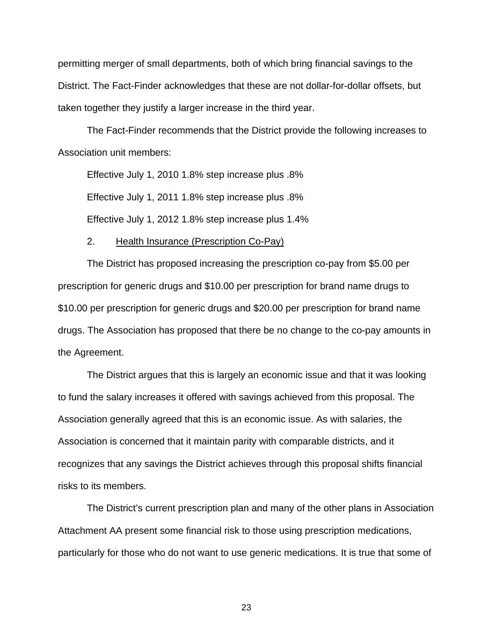permitting merger of small departments, both of which bring financial savings to the District. The Fact-Finder acknowledges that these are not dollar-for-dollar offsets, but taken together they justify a larger increase in the third year.

 The Fact-Finder recommends that the District provide the following increases to Association unit members:

 Effective July 1, 2010 1.8% step increase plus .8% Effective July 1, 2011 1.8% step increase plus .8% Effective July 1, 2012 1.8% step increase plus 1.4%

#### 2. Health Insurance (Prescription Co-Pay)

The District has proposed increasing the prescription co-pay from \$5.00 per prescription for generic drugs and \$10.00 per prescription for brand name drugs to \$10.00 per prescription for generic drugs and \$20.00 per prescription for brand name drugs. The Association has proposed that there be no change to the co-pay amounts in the Agreement.

The District argues that this is largely an economic issue and that it was looking to fund the salary increases it offered with savings achieved from this proposal. The Association generally agreed that this is an economic issue. As with salaries, the Association is concerned that it maintain parity with comparable districts, and it recognizes that any savings the District achieves through this proposal shifts financial risks to its members.

The District's current prescription plan and many of the other plans in Association Attachment AA present some financial risk to those using prescription medications, particularly for those who do not want to use generic medications. It is true that some of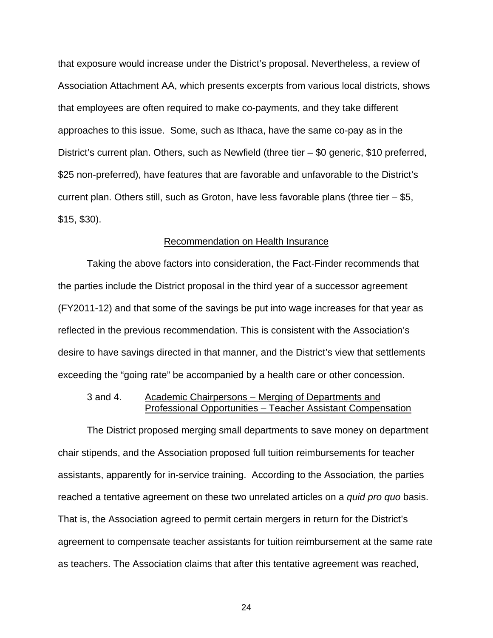that exposure would increase under the District's proposal. Nevertheless, a review of Association Attachment AA, which presents excerpts from various local districts, shows that employees are often required to make co-payments, and they take different approaches to this issue. Some, such as Ithaca, have the same co-pay as in the District's current plan. Others, such as Newfield (three tier – \$0 generic, \$10 preferred, \$25 non-preferred), have features that are favorable and unfavorable to the District's current plan. Others still, such as Groton, have less favorable plans (three tier  $-$  \$5, \$15, \$30).

#### Recommendation on Health Insurance

Taking the above factors into consideration, the Fact-Finder recommends that the parties include the District proposal in the third year of a successor agreement (FY2011-12) and that some of the savings be put into wage increases for that year as reflected in the previous recommendation. This is consistent with the Association's desire to have savings directed in that manner, and the District's view that settlements exceeding the "going rate" be accompanied by a health care or other concession.

## 3 and 4. Academic Chairpersons – Merging of Departments and Professional Opportunities – Teacher Assistant Compensation

The District proposed merging small departments to save money on department chair stipends, and the Association proposed full tuition reimbursements for teacher assistants, apparently for in-service training. According to the Association, the parties reached a tentative agreement on these two unrelated articles on a *quid pro quo* basis. That is, the Association agreed to permit certain mergers in return for the District's agreement to compensate teacher assistants for tuition reimbursement at the same rate as teachers. The Association claims that after this tentative agreement was reached,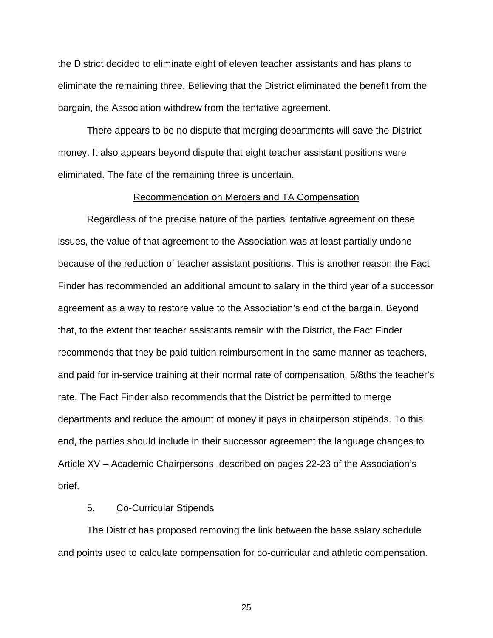the District decided to eliminate eight of eleven teacher assistants and has plans to eliminate the remaining three. Believing that the District eliminated the benefit from the bargain, the Association withdrew from the tentative agreement.

There appears to be no dispute that merging departments will save the District money. It also appears beyond dispute that eight teacher assistant positions were eliminated. The fate of the remaining three is uncertain.

#### Recommendation on Mergers and TA Compensation

Regardless of the precise nature of the parties' tentative agreement on these issues, the value of that agreement to the Association was at least partially undone because of the reduction of teacher assistant positions. This is another reason the Fact Finder has recommended an additional amount to salary in the third year of a successor agreement as a way to restore value to the Association's end of the bargain. Beyond that, to the extent that teacher assistants remain with the District, the Fact Finder recommends that they be paid tuition reimbursement in the same manner as teachers, and paid for in-service training at their normal rate of compensation, 5/8ths the teacher's rate. The Fact Finder also recommends that the District be permitted to merge departments and reduce the amount of money it pays in chairperson stipends. To this end, the parties should include in their successor agreement the language changes to Article XV – Academic Chairpersons, described on pages 22-23 of the Association's brief.

## 5. Co-Curricular Stipends

 The District has proposed removing the link between the base salary schedule and points used to calculate compensation for co-curricular and athletic compensation.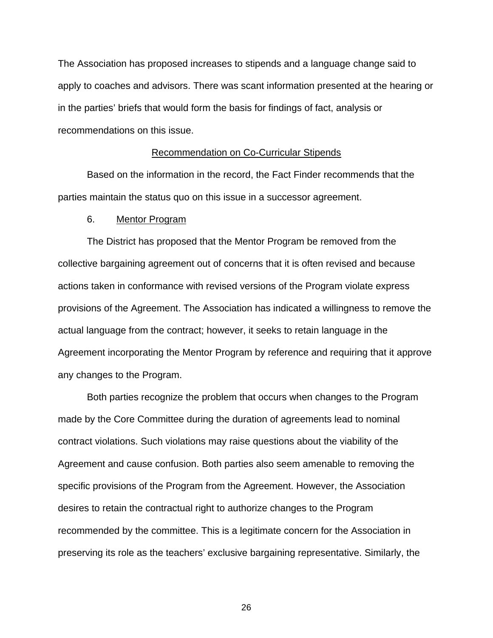The Association has proposed increases to stipends and a language change said to apply to coaches and advisors. There was scant information presented at the hearing or in the parties' briefs that would form the basis for findings of fact, analysis or recommendations on this issue.

#### Recommendation on Co-Curricular Stipends

 Based on the information in the record, the Fact Finder recommends that the parties maintain the status quo on this issue in a successor agreement.

#### 6. Mentor Program

The District has proposed that the Mentor Program be removed from the collective bargaining agreement out of concerns that it is often revised and because actions taken in conformance with revised versions of the Program violate express provisions of the Agreement. The Association has indicated a willingness to remove the actual language from the contract; however, it seeks to retain language in the Agreement incorporating the Mentor Program by reference and requiring that it approve any changes to the Program.

 Both parties recognize the problem that occurs when changes to the Program made by the Core Committee during the duration of agreements lead to nominal contract violations. Such violations may raise questions about the viability of the Agreement and cause confusion. Both parties also seem amenable to removing the specific provisions of the Program from the Agreement. However, the Association desires to retain the contractual right to authorize changes to the Program recommended by the committee. This is a legitimate concern for the Association in preserving its role as the teachers' exclusive bargaining representative. Similarly, the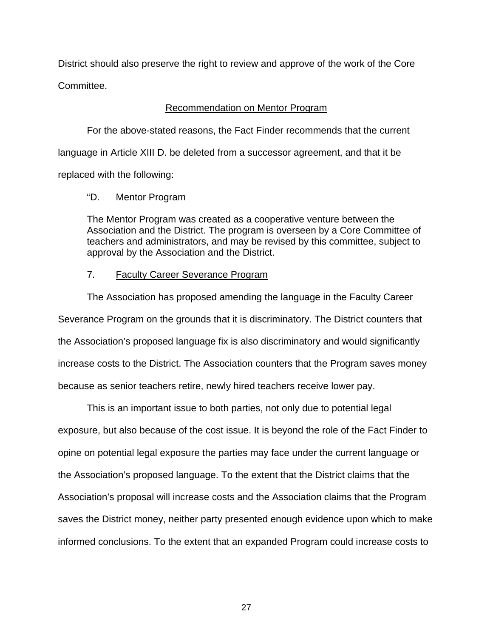District should also preserve the right to review and approve of the work of the Core Committee.

## Recommendation on Mentor Program

 For the above-stated reasons, the Fact Finder recommends that the current language in Article XIII D. be deleted from a successor agreement, and that it be replaced with the following:

## "D. Mentor Program

 The Mentor Program was created as a cooperative venture between the Association and the District. The program is overseen by a Core Committee of teachers and administrators, and may be revised by this committee, subject to approval by the Association and the District.

## 7. Faculty Career Severance Program

The Association has proposed amending the language in the Faculty Career Severance Program on the grounds that it is discriminatory. The District counters that the Association's proposed language fix is also discriminatory and would significantly increase costs to the District. The Association counters that the Program saves money because as senior teachers retire, newly hired teachers receive lower pay.

This is an important issue to both parties, not only due to potential legal exposure, but also because of the cost issue. It is beyond the role of the Fact Finder to opine on potential legal exposure the parties may face under the current language or the Association's proposed language. To the extent that the District claims that the Association's proposal will increase costs and the Association claims that the Program saves the District money, neither party presented enough evidence upon which to make informed conclusions. To the extent that an expanded Program could increase costs to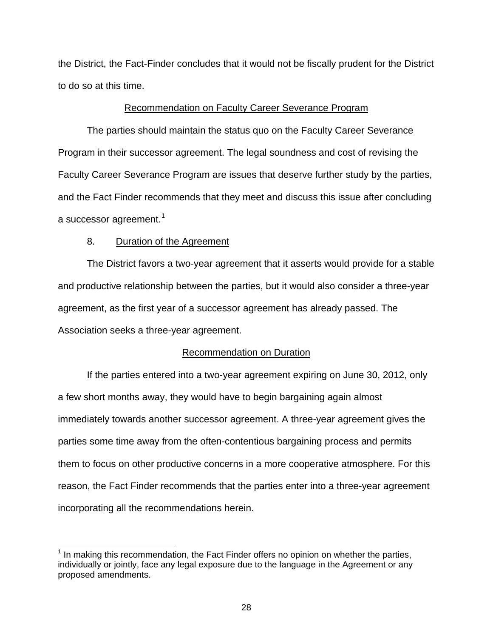the District, the Fact-Finder concludes that it would not be fiscally prudent for the District to do so at this time.

## Recommendation on Faculty Career Severance Program

The parties should maintain the status quo on the Faculty Career Severance Program in their successor agreement. The legal soundness and cost of revising the Faculty Career Severance Program are issues that deserve further study by the parties, and the Fact Finder recommends that they meet and discuss this issue after concluding a successor agreement.<sup>[1](#page-27-0)</sup>

## 8. Duration of the Agreement

1

The District favors a two-year agreement that it asserts would provide for a stable and productive relationship between the parties, but it would also consider a three-year agreement, as the first year of a successor agreement has already passed. The Association seeks a three-year agreement.

## Recommendation on Duration

If the parties entered into a two-year agreement expiring on June 30, 2012, only a few short months away, they would have to begin bargaining again almost immediately towards another successor agreement. A three-year agreement gives the parties some time away from the often-contentious bargaining process and permits them to focus on other productive concerns in a more cooperative atmosphere. For this reason, the Fact Finder recommends that the parties enter into a three-year agreement incorporating all the recommendations herein.

<span id="page-27-0"></span><sup>&</sup>lt;sup>1</sup> In making this recommendation, the Fact Finder offers no opinion on whether the parties, individually or jointly, face any legal exposure due to the language in the Agreement or any proposed amendments.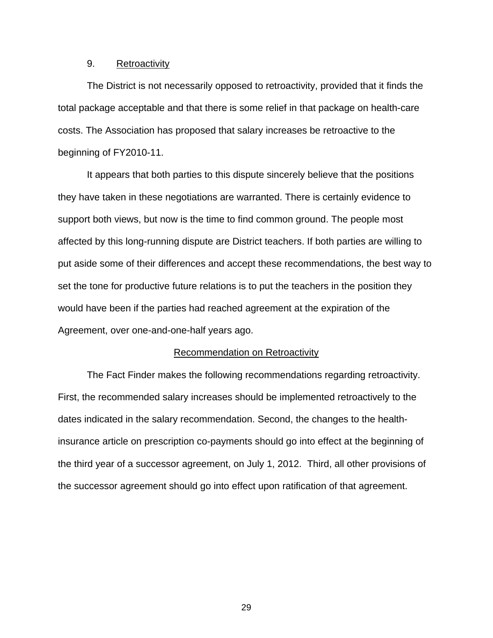## 9. Retroactivity

The District is not necessarily opposed to retroactivity, provided that it finds the total package acceptable and that there is some relief in that package on health-care costs. The Association has proposed that salary increases be retroactive to the beginning of FY2010-11.

It appears that both parties to this dispute sincerely believe that the positions they have taken in these negotiations are warranted. There is certainly evidence to support both views, but now is the time to find common ground. The people most affected by this long-running dispute are District teachers. If both parties are willing to put aside some of their differences and accept these recommendations, the best way to set the tone for productive future relations is to put the teachers in the position they would have been if the parties had reached agreement at the expiration of the Agreement, over one-and-one-half years ago.

#### Recommendation on Retroactivity

The Fact Finder makes the following recommendations regarding retroactivity. First, the recommended salary increases should be implemented retroactively to the dates indicated in the salary recommendation. Second, the changes to the healthinsurance article on prescription co-payments should go into effect at the beginning of the third year of a successor agreement, on July 1, 2012. Third, all other provisions of the successor agreement should go into effect upon ratification of that agreement.